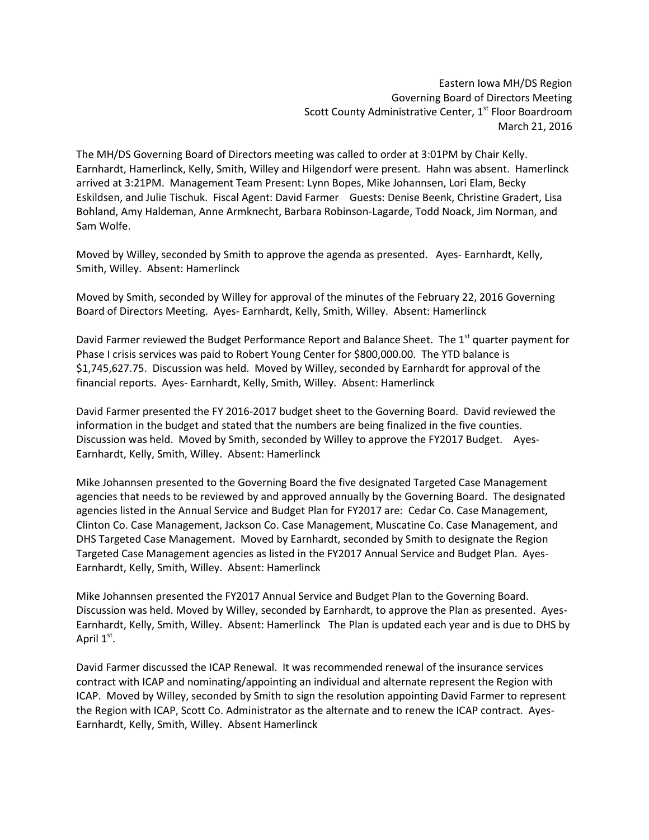Eastern Iowa MH/DS Region Governing Board of Directors Meeting Scott County Administrative Center, 1<sup>st</sup> Floor Boardroom March 21, 2016

The MH/DS Governing Board of Directors meeting was called to order at 3:01PM by Chair Kelly. Earnhardt, Hamerlinck, Kelly, Smith, Willey and Hilgendorf were present. Hahn was absent. Hamerlinck arrived at 3:21PM. Management Team Present: Lynn Bopes, Mike Johannsen, Lori Elam, Becky Eskildsen, and Julie Tischuk. Fiscal Agent: David Farmer Guests: Denise Beenk, Christine Gradert, Lisa Bohland, Amy Haldeman, Anne Armknecht, Barbara Robinson-Lagarde, Todd Noack, Jim Norman, and Sam Wolfe.

Moved by Willey, seconded by Smith to approve the agenda as presented. Ayes- Earnhardt, Kelly, Smith, Willey. Absent: Hamerlinck

Moved by Smith, seconded by Willey for approval of the minutes of the February 22, 2016 Governing Board of Directors Meeting. Ayes- Earnhardt, Kelly, Smith, Willey. Absent: Hamerlinck

David Farmer reviewed the Budget Performance Report and Balance Sheet. The 1st quarter payment for Phase I crisis services was paid to Robert Young Center for \$800,000.00. The YTD balance is \$1,745,627.75. Discussion was held. Moved by Willey, seconded by Earnhardt for approval of the financial reports. Ayes- Earnhardt, Kelly, Smith, Willey. Absent: Hamerlinck

David Farmer presented the FY 2016-2017 budget sheet to the Governing Board. David reviewed the information in the budget and stated that the numbers are being finalized in the five counties. Discussion was held. Moved by Smith, seconded by Willey to approve the FY2017 Budget. Ayes-Earnhardt, Kelly, Smith, Willey. Absent: Hamerlinck

Mike Johannsen presented to the Governing Board the five designated Targeted Case Management agencies that needs to be reviewed by and approved annually by the Governing Board. The designated agencies listed in the Annual Service and Budget Plan for FY2017 are: Cedar Co. Case Management, Clinton Co. Case Management, Jackson Co. Case Management, Muscatine Co. Case Management, and DHS Targeted Case Management. Moved by Earnhardt, seconded by Smith to designate the Region Targeted Case Management agencies as listed in the FY2017 Annual Service and Budget Plan. Ayes-Earnhardt, Kelly, Smith, Willey. Absent: Hamerlinck

Mike Johannsen presented the FY2017 Annual Service and Budget Plan to the Governing Board. Discussion was held. Moved by Willey, seconded by Earnhardt, to approve the Plan as presented. Ayes-Earnhardt, Kelly, Smith, Willey. Absent: Hamerlinck The Plan is updated each year and is due to DHS by April  $1^{\text{st}}$ .

David Farmer discussed the ICAP Renewal. It was recommended renewal of the insurance services contract with ICAP and nominating/appointing an individual and alternate represent the Region with ICAP. Moved by Willey, seconded by Smith to sign the resolution appointing David Farmer to represent the Region with ICAP, Scott Co. Administrator as the alternate and to renew the ICAP contract. Ayes-Earnhardt, Kelly, Smith, Willey. Absent Hamerlinck